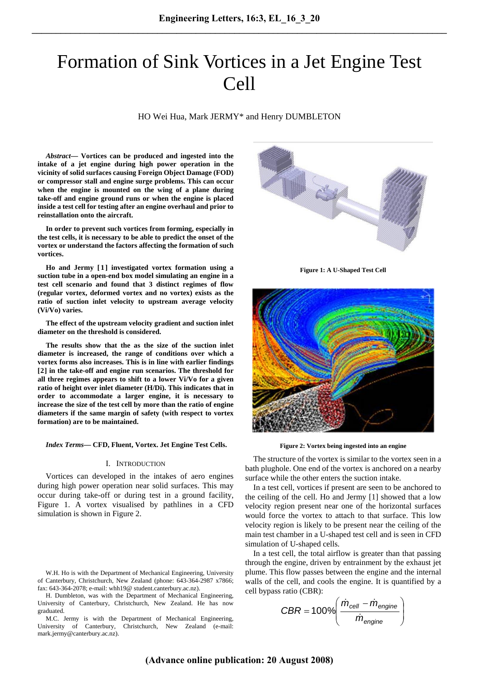# Formation of Sink Vortices in a Jet Engine Test Cell

HO Wei Hua, Mark JERMY\* and Henry DUMBLETON

*Abstract***— Vortices can be produced and ingested into the intake of a jet engine during high power operation in the vicinity of solid surfaces causing Foreign Object Damage (FOD) or compressor stall and engine surge problems. This can occur when the engine is mounted on the wing of a plane during take-off and engine ground runs or when the engine is placed inside a test cell for testing after an engine overhaul and prior to reinstallation onto the aircraft.** 

**In order to prevent such vortices from forming, especially in the test cells, it is necessary to be able to predict the onset of the vortex or understand the factors affecting the formation of such vortices.** 

Ho and Jermy [1] investigated vortex formation using a **suction tube in a open-end box model simulating an engine in a test cell scenario and found that 3 distinct regimes of flow (regular vortex, deformed vortex and no vortex) exists as the ratio of suction inlet velocity to upstream average velocity (Vi/Vo) varies.** 

**The effect of the upstream velocity gradient and suction inlet diameter on the threshold is considered.** 

**The results show that the as the size of the suction inlet diameter is increased, the range of conditions over which a vortex forms also increases. This is in line with earlier findings**  [2] in the take-off and engine run scenarios. The threshold for **all three regimes appears to shift to a lower Vi/Vo for a given ratio of height over inlet diameter (H/Di). This indicates that in order to accommodate a larger engine, it is necessary to increase the size of the test cell by more than the ratio of engine diameters if the same margin of safety (with respect to vortex formation) are to be maintained.** 

*Index Terms*— CFD, Fluent, Vortex. Jet Engine Test Cells.

### I. INTRODUCTION

Vortices can developed in the intakes of aero engines during high power operation near solid surfaces. This may occur during take-off or during test in a ground facility, Figure 1. A vortex visualised by pathlines in a CFD simulation is shown in Figure 2.

W.H. Ho is with the Department of Mechanical Engineering, University of Canterbury, Christchurch, New Zealand (phone: 643-364-2987 x7866; fax: 643-364-2078; e-mail: whh19@ student.canterbury.ac.nz).

H. Dumbleton, was with the Department of Mechanical Engineering, University of Canterbury, Christchurch, New Zealand. He has now graduated.

M.C. Jermy is with the Department of Mechanical Engineering, University of Canterbury, Christchurch, New Zealand (e-mail: mark.jermy@canterbury.ac.nz).



**Figure 1: A U-Shaped Test Cell** 



**Figure 2: Vortex being ingested into an engine** 

The structure of the vortex is similar to the vortex seen in a bath plughole. One end of the vortex is anchored on a nearby surface while the other enters the suction intake.

In a test cell, vortices if present are seen to be anchored to the ceiling of the cell. Ho and Jermy  $[1]$  showed that a low velocity region present near one of the horizontal surfaces would force the vortex to attach to that surface. This low velocity region is likely to be present near the ceiling of the main test chamber in a U-shaped test cell and is seen in CFD simulation of U-shaped cells.

In a test cell, the total airflow is greater than that passing through the engine, driven by entrainment by the exhaust jet plume. This flow passes between the engine and the internal walls of the cell, and cools the engine. It is quantified by a cell bypass ratio (CBR):

$$
CBR = 100\% \left( \frac{\dot{m}_{cell} - \dot{m}_{engine}}{\dot{m}_{engine}} \right)
$$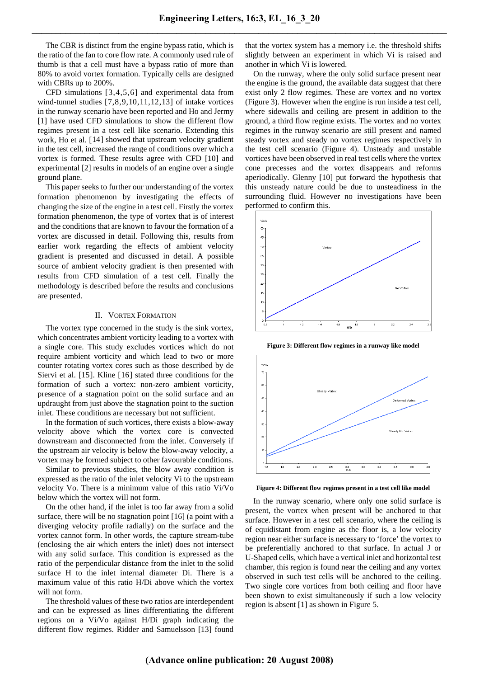The CBR is distinct from the engine bypass ratio, which is the ratio of the fan to core flow rate. A commonly used rule of thumb is that a cell must have a bypass ratio of more than 80% to avoid vortex formation. Typically cells are designed with CBRs up to 200%.

CFD simulations  $[3,4,5,6]$  and experimental data from wind-tunnel studies  $[7,8,9,10,11,12,13]$  of intake vortices in the runway scenario have been reported and Ho and Jermy [1] have used CFD simulations to show the different flow regimes present in a test cell like scenario. Extending this work, Ho et al. [14] showed that upstream velocity gradient in the test cell, increased the range of conditions over which a vortex is formed. These results agree with CFD  $[10]$  and experimental [2] results in models of an engine over a single ground plane.

This paper seeks to further our understanding of the vortex formation phenomenon by investigating the effects of changing the size of the engine in a test cell. Firstly the vortex formation phenomenon, the type of vortex that is of interest and the conditions that are known to favour the formation of a vortex are discussed in detail. Following this, results from earlier work regarding the effects of ambient velocity gradient is presented and discussed in detail. A possible source of ambient velocity gradient is then presented with results from CFD simulation of a test cell. Finally the methodology is described before the results and conclusions are presented.

## II. VORTEX FORMATION

The vortex type concerned in the study is the sink vortex, which concentrates ambient vorticity leading to a vortex with a single core. This study excludes vortices which do not require ambient vorticity and which lead to two or more counter rotating vortex cores such as those described by de Siervi et al.  $[15]$ . Kline  $[16]$  stated three conditions for the formation of such a vortex: non-zero ambient vorticity, presence of a stagnation point on the solid surface and an updraught from just above the stagnation point to the suction inlet. These conditions are necessary but not sufficient.

In the formation of such vortices, there exists a blow-away velocity above which the vortex core is convected downstream and disconnected from the inlet. Conversely if the upstream air velocity is below the blow-away velocity, a vortex may be formed subject to other favourable conditions.

Similar to previous studies, the blow away condition is expressed as the ratio of the inlet velocity Vi to the upstream velocity Vo. There is a minimum value of this ratio Vi/Vo below which the vortex will not form.

On the other hand, if the inlet is too far away from a solid surface, there will be no stagnation point  $[16]$  (a point with a diverging velocity profile radially) on the surface and the vortex cannot form. In other words, the capture stream-tube (enclosing the air which enters the inlet) does not intersect with any solid surface. This condition is expressed as the ratio of the perpendicular distance from the inlet to the solid surface H to the inlet internal diameter Di. There is a maximum value of this ratio H/Di above which the vortex will not form.

The threshold values of these two ratios are interdependent and can be expressed as lines differentiating the different regions on a Vi/Vo against H/Di graph indicating the different flow regimes. Ridder and Samuelsson [13] found that the vortex system has a memory i.e. the threshold shifts slightly between an experiment in which Vi is raised and another in which Vi is lowered.

On the runway, where the only solid surface present near the engine is the ground, the available data suggest that there exist only 2 flow regimes. These are vortex and no vortex (Figure 3). However when the engine is run inside a test cell, where sidewalls and ceiling are present in addition to the ground, a third flow regime exists. The vortex and no vortex regimes in the runway scenario are still present and named steady vortex and steady no vortex regimes respectively in the test cell scenario (Figure 4). Unsteady and unstable vortices have been observed in real test cells where the vortex cone precesses and the vortex disappears and reforms aperiodically. Glenny  $[10]$  put forward the hypothesis that this unsteady nature could be due to unsteadiness in the surrounding fluid. However no investigations have been performed to confirm this.



**Figure 3: Different flow regimes in a runway like model** 



**Figure 4: Different flow regimes present in a test cell like model** 

In the runway scenario, where only one solid surface is present, the vortex when present will be anchored to that surface. However in a test cell scenario, where the ceiling is of equidistant from engine as the floor is, a low velocity region near either surface is necessary to 'force' the vortex to be preferentially anchored to that surface. In actual J or U-Shaped cells, which have a vertical inlet and horizontal test chamber, this region is found near the ceiling and any vortex observed in such test cells will be anchored to the ceiling. Two single core vortices from both ceiling and floor have been shown to exist simultaneously if such a low velocity region is absent  $[1]$  as shown in Figure 5.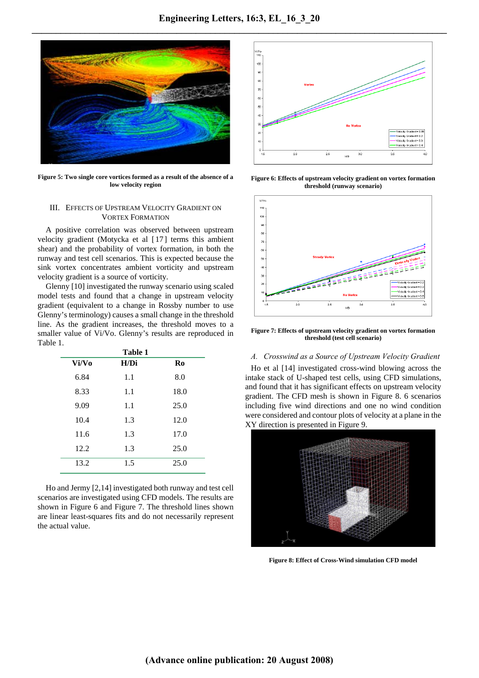

**Figure 5: Two single core vortices formed as a result of the absence of a low velocity region** 

## III. EFFECTS OF UPSTREAM VELOCITY GRADIENT ON VORTEX FORMATION

A positive correlation was observed between upstream velocity gradient (Motycka et al [17] terms this ambient shear) and the probability of vortex formation, in both the runway and test cell scenarios. This is expected because the sink vortex concentrates ambient vorticity and upstream velocity gradient is a source of vorticity.

Glenny  $[10]$  investigated the runway scenario using scaled model tests and found that a change in upstream velocity gradient (equivalent to a change in Rossby number to use Glenny's terminology) causes a small change in the threshold line. As the gradient increases, the threshold moves to a smaller value of Vi/Vo. Glenny's results are reproduced in Table 1.

| Table 1 |      |                |
|---------|------|----------------|
| Vi/Vo   | H/Di | R <sub>0</sub> |
| 6.84    | 1.1  | 8.0            |
| 8.33    | 1.1  | 18.0           |
| 9.09    | 1.1  | 25.0           |
| 10.4    | 1.3  | 12.0           |
| 11.6    | 1.3  | 17.0           |
| 12.2    | 1.3  | 25.0           |
| 13.2    | 1.5  | 25.0           |

Ho and Jermy  $[2,14]$  investigated both runway and test cell scenarios are investigated using CFD models. The results are shown in Figure 6 and Figure 7. The threshold lines shown are linear least-squares fits and do not necessarily represent the actual value.



**Figure 6: Effects of upstream velocity gradient on vortex formation threshold (runway scenario)** 



**Figure 7: Effects of upstream velocity gradient on vortex formation threshold (test cell scenario)** 

## *A. Crosswind as a Source of Upstream Velocity Gradient*

Ho et al [14] investigated cross-wind blowing across the intake stack of U-shaped test cells, using CFD simulations, and found that it has significant effects on upstream velocity gradient. The CFD mesh is shown in Figure 8. 6 scenarios including five wind directions and one no wind condition were considered and contour plots of velocity at a plane in the XY direction is presented in Figure 9.



**Figure 8: Effect of Cross-Wind simulation CFD model**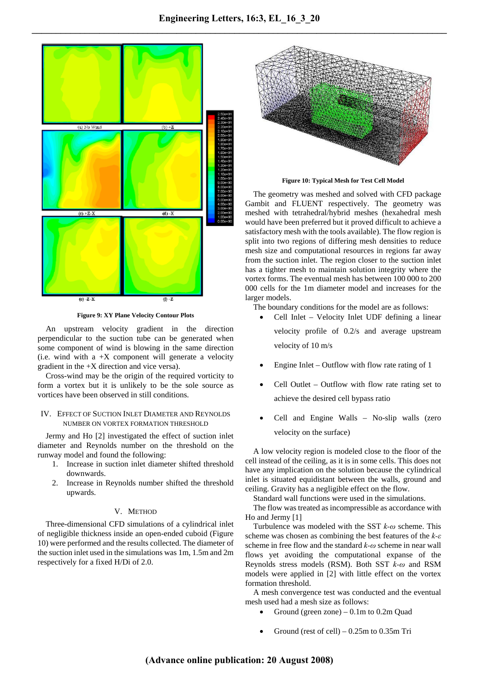

**Figure 9: XY Plane Velocity Contour Plots** 

An upstream velocity gradient in the direction perpendicular to the suction tube can be generated when some component of wind is blowing in the same direction (i.e. wind with a  $+X$  component will generate a velocity gradient in the +X direction and vice versa).

Cross-wind may be the origin of the required vorticity to form a vortex but it is unlikely to be the sole source as vortices have been observed in still conditions.

## IV. EFFECT OF SUCTION INLET DIAMETER AND REYNOLDS NUMBER ON VORTEX FORMATION THRESHOLD

Jermy and Ho [2] investigated the effect of suction inlet diameter and Reynolds number on the threshold on the runway model and found the following:

- 1. Increase in suction inlet diameter shifted threshold downwards.
- 2. Increase in Reynolds number shifted the threshold upwards.

# V. METHOD

Three-dimensional CFD simulations of a cylindrical inlet of negligible thickness inside an open-ended cuboid (Figure 10) were performed and the results collected. The diameter of the suction inlet used in the simulations was 1m, 1.5m and 2m respectively for a fixed H/Di of 2.0.



**Figure 10: Typical Mesh for Test Cell Model** 

The geometry was meshed and solved with CFD package Gambit and FLUENT respectively. The geometry was meshed with tetrahedral/hybrid meshes (hexahedral mesh would have been preferred but it proved difficult to achieve a satisfactory mesh with the tools available). The flow region is split into two regions of differing mesh densities to reduce mesh size and computational resources in regions far away from the suction inlet. The region closer to the suction inlet has a tighter mesh to maintain solution integrity where the vortex forms. The eventual mesh has between 100 000 to 200 000 cells for the 1m diameter model and increases for the larger models.

The boundary conditions for the model are as follows:

- Cell Inlet Velocity Inlet UDF defining a linear velocity profile of 0.2/s and average upstream velocity of 10 m/s
- Engine Inlet Outflow with flow rate rating of  $1$
- Cell Outlet Outflow with flow rate rating set to achieve the desired cell bypass ratio
- Cell and Engine Walls No-slip walls (zero velocity on the surface)

A low velocity region is modeled close to the floor of the cell instead of the ceiling, as it is in some cells. This does not have any implication on the solution because the cylindrical inlet is situated equidistant between the walls, ground and ceiling. Gravity has a negligible effect on the flow.

Standard wall functions were used in the simulations.

The flow was treated as incompressible as accordance with Ho and Jermy [1]

Turbulence was modeled with the SST *k-ω* scheme. This scheme was chosen as combining the best features of the *k-ε* scheme in free flow and the standard *k-ω* scheme in near wall flows yet avoiding the computational expanse of the Reynolds stress models (RSM). Both SST *k-ω* and RSM models were applied in [2] with little effect on the vortex formation threshold.

A mesh convergence test was conducted and the eventual mesh used had a mesh size as follows:

- Ground (green zone)  $-0.1$ m to 0.2m Quad
- Ground (rest of cell)  $-0.25$ m to 0.35m Tri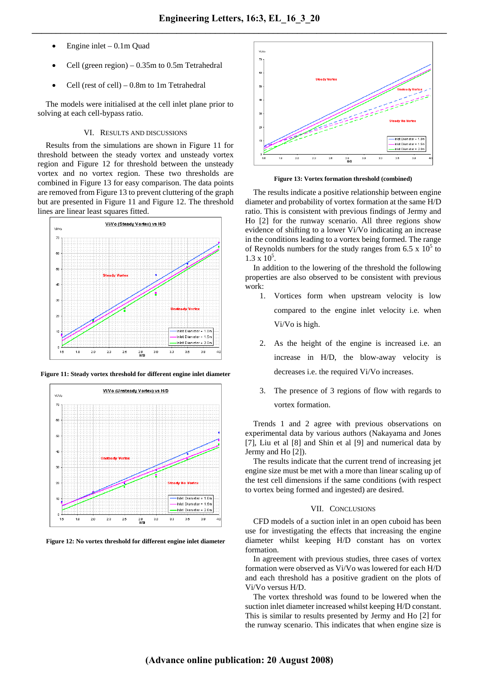- Engine inlet  $-0.1$ m Quad
- Cell (green region)  $-0.35$ m to 0.5m Tetrahedral
- Cell (rest of cell) 0.8m to 1m Tetrahedral

The models were initialised at the cell inlet plane prior to solving at each cell-bypass ratio.

## VI. RESULTS AND DISCUSSIONS

Results from the simulations are shown in Figure 11 for threshold between the steady vortex and unsteady vortex region and Figure 12 for threshold between the unsteady vortex and no vortex region. These two thresholds are combined in Figure 13 for easy comparison. The data points are removed from Figure 13 to prevent cluttering of the graph but are presented in Figure 11 and Figure 12. The threshold lines are linear least squares fitted.



**Figure 11: Steady vortex threshold for different engine inlet diameter** 



**Figure 12: No vortex threshold for different engine inlet diameter** 



**Figure 13: Vortex formation threshold (combined)** 

The results indicate a positive relationship between engine diameter and probability of vortex formation at the same H/D ratio. This is consistent with previous findings of Jermy and Ho  $[2]$  for the runway scenario. All three regions show evidence of shifting to a lower Vi/Vo indicating an increase in the conditions leading to a vortex being formed. The range of Reynolds numbers for the study ranges from 6.5 x  $10^5$  to  $1.3 \times 10^5$ .

In addition to the lowering of the threshold the following properties are also observed to be consistent with previous work:

- 1. Vortices form when upstream velocity is low compared to the engine inlet velocity i.e. when Vi/Vo is high.
- 2. As the height of the engine is increased i.e. an increase in H/D, the blow-away velocity is decreases i.e. the required Vi/Vo increases.
- 3. The presence of 3 regions of flow with regards to vortex formation.

Trends 1 and 2 agree with previous observations on experimental data by various authors (Nakayama and Jones  $[7]$ , Liu et al  $[8]$  and Shin et al  $[9]$  and numerical data by Jermy and Ho [2]).

The results indicate that the current trend of increasing jet engine size must be met with a more than linear scaling up of the test cell dimensions if the same conditions (with respect to vortex being formed and ingested) are desired.

## VII. CONCLUSIONS

CFD models of a suction inlet in an open cuboid has been use for investigating the effects that increasing the engine diameter whilst keeping H/D constant has on vortex formation.

In agreement with previous studies, three cases of vortex formation were observed as Vi/Vo was lowered for each H/D and each threshold has a positive gradient on the plots of Vi/Vo versus H/D.

The vortex threshold was found to be lowered when the suction inlet diameter increased whilst keeping H/D constant. This is similar to results presented by Jermy and Ho  $[2]$  for the runway scenario. This indicates that when engine size is